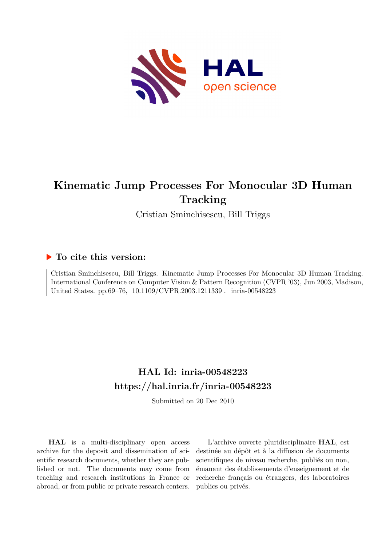

# **Kinematic Jump Processes For Monocular 3D Human Tracking**

Cristian Sminchisescu, Bill Triggs

# **To cite this version:**

Cristian Sminchisescu, Bill Triggs. Kinematic Jump Processes For Monocular 3D Human Tracking. International Conference on Computer Vision & Pattern Recognition (CVPR '03), Jun 2003, Madison, United States. pp.69–76,  $10.1109/CVPR.2003.1211339$ . inria-00548223

# **HAL Id: inria-00548223 <https://hal.inria.fr/inria-00548223>**

Submitted on 20 Dec 2010

**HAL** is a multi-disciplinary open access archive for the deposit and dissemination of scientific research documents, whether they are published or not. The documents may come from teaching and research institutions in France or abroad, or from public or private research centers.

L'archive ouverte pluridisciplinaire **HAL**, est destinée au dépôt et à la diffusion de documents scientifiques de niveau recherche, publiés ou non, émanant des établissements d'enseignement et de recherche français ou étrangers, des laboratoires publics ou privés.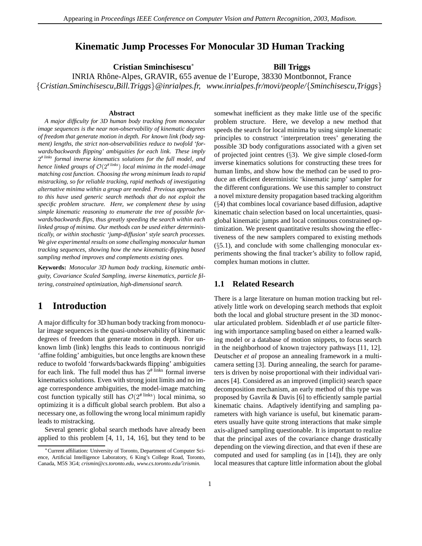## **Kinematic Jump Processes For Monocular 3D Human Tracking**

**Cristian Sminchisescu**<sup>∗</sup> **Bill Triggs**

INRIA Rhˆone-Alpes, GRAVIR, 655 avenue de l'Europe, 38330 Montbonnot, France {*Cristian.Sminchisescu,Bill.Triggs*}*@inrialpes.fr, www.inrialpes.fr/movi/people/*{*Sminchisescu,Triggs*}

#### **Abstract**

*A major difficulty for 3D human body tracking from monocular image sequences is the near non-observability of kinematic degrees of freedom that generate motion in depth. For known link (body segment) lengths, the strict non-observabilities reduce to twofold 'forwards/backwards flipping' ambiguities for each link. These imply* 2*# links formal inverse kinematics solutions for the full model, and hence linked groups of* <sup>O</sup>(2*# links*) *local minima in the model-image matching cost function. Choosing the wrong minimum leads to rapid mistracking, so for reliable tracking, rapid methods of investigating alternative minima within a group are needed. Previous approaches to this have used generic search methods that do not exploit the specific problem structure. Here, we complement these by using simple kinematic reasoning to enumerate the tree of possible forwards/backwards flips, thus greatly speeding the search within each linked group of minima. Our methods can be used either deterministically, or within stochastic 'jump-diffusion' style search processes. We give experimental results on some challenging monocular human tracking sequences, showing how the new kinematic-flipping based sampling method improves and complements existing ones.*

**Keywords:** *Monocular 3D human body tracking, kinematic ambiguity, Covariance Scaled Sampling, inverse kinematics, particle filtering, constrained optimization, high-dimensional search.*

## **1 Introduction**

A major difficulty for 3D human body tracking from monocular image sequences is the quasi-unobservability of kinematic degrees of freedom that generate motion in depth. For unknown limb (link) lengths this leads to continuous nonrigid 'affine folding' ambiguities, but once lengths are known these reduce to twofold 'forwards/backwards flipping' ambiguities for each link. The full model thus has  $2^{\text{# links}}$  formal inverse kinematics solutions. Even with strong joint limits and no image correspondence ambiguities, the model-image matching cost function typically still has  $O(2^{# N} \ln k)$  local minima, so optimizing it is a difficult global search problem. But also a necessary one, as following the wrong local minimum rapidly leads to mistracking.

Several generic global search methods have already been applied to this problem [4, 11, 14, 16], but they tend to be

somewhat inefficient as they make little use of the specific problem structure. Here, we develop a new method that speeds the search for local minima by using simple kinematic principles to construct 'interpretation trees' generating the possible 3D body configurations associated with a given set of projected joint centres  $(\S$ 3). We give simple closed-form inverse kinematics solutions for constructing these trees for human limbs, and show how the method can be used to produce an efficient deterministic 'kinematic jump' sampler for the different configurations. We use this sampler to construct a novel mixture density propagation based tracking algorithm (§4) that combines local covariance based diffusion, adaptive kinematic chain selection based on local uncertainties, quasiglobal kinematic jumps and local continuous constrained optimization. We present quantitative results showing the effectiveness of the new samplers compared to existing methods  $(\S 5.1)$ , and conclude with some challenging monocular experiments showing the final tracker's ability to follow rapid, complex human motions in clutter.

## **1.1 Related Research**

There is a large literature on human motion tracking but relatively little work on developing search methods that exploit both the local and global structure present in the 3D monocular articulated problem. Sidenbladh *et al* use particle filtering with importance sampling based on either a learned walking model or a database of motion snippets, to focus search in the neighborhood of known trajectory pathways [11, 12]. Deutscher *et al* propose an annealing framework in a multicamera setting [3]. During annealing, the search for parameters is driven by noise proportional with their individual variances [4]. Considered as an improved (implicit) search space decomposition mechanism, an early method of this type was proposed by Gavrila & Davis [6] to efficiently sample partial kinematic chains. Adaptively identifying and sampling parameters with high variance is useful, but kinematic parameters usually have quite strong interactions that make simple axis-aligned sampling questionable. It is important to realize that the principal axes of the covariance change drastically depending on the viewing direction, and that even if these are computed and used for sampling (as in [14]), they are only local measures that capture little information about the global

<sup>∗</sup>Current affiliation: University of Toronto, Department of Computer Science, Artificial Intelligence Laboratory, 6 King's College Road, Toronto, Canada, M5S 3G4; *crismin@cs.toronto.edu, www.cs.toronto.edu/˜crismin.*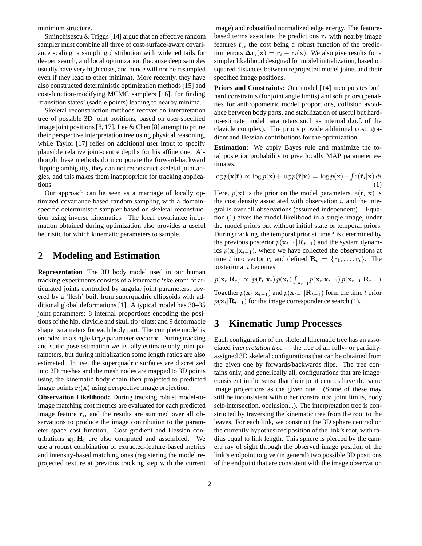minimum structure.

Sminchisescu & Triggs [14] argue that an effective random sampler must combine all three of cost-surface-aware covariance scaling, a sampling distribution with widened tails for deeper search, and local optimization (because deep samples usually have very high costs, and hence will not be resampled even if they lead to other minima). More recently, they have also constructed deterministic optimization methods [15] and cost-function-modifying MCMC samplers [16], for finding 'transition states' (saddle points) leading to nearby minima.

Skeletal reconstruction methods recover an interpretation tree of possible 3D joint positions, based on user-specified image joint positions [8, 17]. Lee  $&$  Chen [8] attempt to prune their perspective interpretation tree using physical reasoning, while Taylor [17] relies on additional user input to specify plausible relative joint-centre depths for his affine one. Although these methods do incorporate the forward-backward flipping ambiguity, they can not reconstruct skeletal joint angles, and this makes them inappropriate for tracking applications.

Our approach can be seen as a marriage of locally optimized covariance based random sampling with a domainspecific deterministic sampler based on skeletal reconstruction using inverse kinematics. The local covariance information obtained during optimization also provides a useful heuristic for which kinematic parameters to sample.

# **2 Modeling and Estimation**

**Representation** The 3D body model used in our human tracking experiments consists of a kinematic 'skeleton' of articulated joints controlled by angular joint parameters, covered by a 'flesh' built from superquadric ellipsoids with additional global deformations [1]. A typical model has 30–35 joint parameters; 8 internal proportions encoding the positions of the hip, clavicle and skull tip joints; and 9 deformable shape parameters for each body part. The complete model is encoded in a single large parameter vector **x**. During tracking and static pose estimation we usually estimate only joint parameters, but during initialization some length ratios are also estimated. In use, the superquadric surfaces are discretized into 2D meshes and the mesh nodes are mapped to 3D points using the kinematic body chain then projected to predicted image points  $\mathbf{r}_i(\mathbf{x})$  using perspective image projection.

**Observation Likelihood:** During tracking robust model-toimage matching cost metrics are evaluated for each predicted image feature  $\mathbf{r}_i$ , and the results are summed over all observations to produce the image contribution to the parameter space cost function. Cost gradient and Hessian contributions  $\mathbf{g}_i$ ,  $\mathbf{H}_i$  are also computed and assembled. We use a robust combination of extracted-feature-based metrics and intensity-based matching ones (registering the model reprojected texture at previous tracking step with the current image) and robustified normalized edge energy. The featurebased terms associate the predictions  $\mathbf{r}_i$  with nearby image features  $\bar{\mathbf{r}}_i$ , the cost being a robust function of the prediction errors  $\Delta \mathbf{r}_i(\mathbf{x}) = \bar{\mathbf{r}}_i - \mathbf{r}_i(\mathbf{x})$ . We also give results for a simpler likelihood designed for model initialization, based on squared distances between reprojected model joints and their specified image positions.

**Priors and Constraints:** Our model [14] incorporates both hard constraints (for joint angle limits) and soft priors (penalties for anthropometric model proportions, collision avoidance between body parts, and stabilization of useful but hardto-estimate model parameters such as internal d.o.f. of the clavicle complex). The priors provide additional cost, gradient and Hessian contributions for the optimization.

**Estimation:** We apply Bayes rule and maximize the total posterior probability to give locally MAP parameter estimates:

$$
\log p(\mathbf{x}|\bar{\mathbf{r}}) \propto \log p(\mathbf{x}) + \log p(\bar{\mathbf{r}}|\mathbf{x}) = \log p(\mathbf{x}) - \int e(\bar{\mathbf{r}}_i|\mathbf{x}) \, di \tag{1}
$$

Here,  $p(\mathbf{x})$  is the prior on the model parameters,  $e(\bar{\mathbf{r}}_i|\mathbf{x})$  is the cost density associated with observation  $i$ , and the integral is over all observations (assumed independent). Equation (1) gives the model likelihood in a single image, under the model priors but without initial state or temporal priors. During tracking, the temporal prior at time  $t$  is determined by the previous posterior  $p(\mathbf{x}_{t-1}|\mathbf{R}_{t-1})$  and the system dynamics  $p(\mathbf{x}_t|\mathbf{x}_{t-1})$ , where we have collected the observations at time t into vector  $\mathbf{r}_t$  and defined  $\mathbf{R}_t = {\mathbf{r}_1, \ldots, \mathbf{r}_t}$ . The posterior at t becomes

$$
p(\mathbf{x}_t|\mathbf{R}_t) \propto p(\bar{\mathbf{r}}_t|\mathbf{x}_t) p(\mathbf{x}_t) \int_{\mathbf{x}_{t-1}} p(\mathbf{x}_t|\mathbf{x}_{t-1}) p(\mathbf{x}_{t-1}|\mathbf{R}_{t-1})
$$

Together  $p(\mathbf{x}_t|\mathbf{x}_{t-1})$  and  $p(\mathbf{x}_{t-1}|\mathbf{R}_{t-1})$  form the time t prior  $p(\mathbf{x}_t|\mathbf{R}_{t-1})$  for the image correspondence search (1).

# **3 Kinematic Jump Processes**

Each configuration of the skeletal kinematic tree has an associated *interpretation tree* — the tree of all fully- or partiallyassigned 3D skeletal configurations that can be obtained from the given one by forwards/backwards flips. The tree contains only, and generically all, configurations that are imageconsistent in the sense that their joint centres have the same image projections as the given one. (Some of these may still be inconsistent with other constraints: joint limits, body self-intersection, occlusion...). The interpretation tree is constructed by traversing the kinematic tree from the root to the leaves. For each link, we construct the 3D sphere centred on the currently hypothesized position of the link's root, with radius equal to link length. This sphere is pierced by the camera ray of sight through the observed image position of the link's endpoint to give (in general) two possible 3D positions of the endpoint that are consistent with the image observation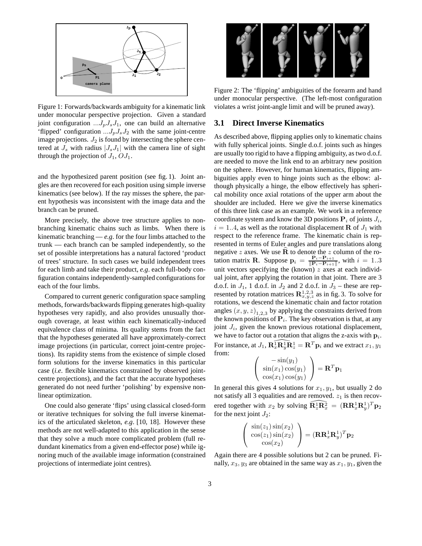

Figure 1: Forwards/backwards ambiguity for a kinematic link under monocular perspective projection. Given a standard joint configuration  $...J_pJ_sJ_1$ , one can build an alternative 'flipped' configuration  $...J_pJ_sJ_2$  with the same joint-centre image projections.  $J_2$  is found by intersecting the sphere centered at  $J_s$  with radius  $|J_sJ_1|$  with the camera line of sight through the projection of  $J_1$ ,  $OJ_1$ .

and the hypothesized parent position (see fig. 1). Joint angles are then recovered for each position using simple inverse kinematics (see below). If the ray misses the sphere, the parent hypothesis was inconsistent with the image data and the branch can be pruned.

More precisely, the above tree structure applies to nonbranching kinematic chains such as limbs. When there is kinematic branching  $-e.g.$  for the four limbs attached to the trunk — each branch can be sampled independently, so the set of possible interpretations has a natural factored 'product of trees' structure. In such cases we build independent trees for each limb and take their product, *e.g*. each full-body configuration contains independently-sampled configurations for each of the four limbs.

Compared to current generic configuration space sampling methods, forwards/backwards flipping generates high-quality hypotheses very rapidly, and also provides unusually thorough coverage, at least within each kinematically-induced equivalence class of minima. Its quality stems from the fact that the hypotheses generated all have approximately-correct image projections (in particular, correct joint-centre projections). Its rapidity stems from the existence of simple closed form solutions for the inverse kinematics in this particular case (*i.e*. flexible kinematics constrained by observed jointcentre projections), and the fact that the accurate hypotheses generated do not need further 'polishing' by expensive nonlinear optimization.

One could also generate 'flips' using classical closed-form or iterative techniques for solving the full inverse kinematics of the articulated skeleton, *e.g*. [10, 18]. However these methods are not well-adapted to this application in the sense that they solve a much more complicated problem (full redundant kinematics from a given end-effector pose) while ignoring much of the available image information (constrained projections of intermediate joint centres).



Figure 2: The 'flipping' ambiguities of the forearm and hand under monocular perspective. (The left-most configuration violates a wrist joint-angle limit and will be pruned away).

### **3.1 Direct Inverse Kinematics**

As described above, flipping applies only to kinematic chains with fully spherical joints. Single d.o.f. joints such as hinges are usually too rigid to have a flipping ambiguity, as two d.o.f. are needed to move the link end to an arbitrary new position on the sphere. However, for human kinematics, flipping ambiguities apply even to hinge joints such as the elbow: although physically a hinge, the elbow effectively has spherical mobility once axial rotations of the upper arm about the shoulder are included. Here we give the inverse kinematics of this three link case as an example. We work in a reference coordinate system and know the 3D positions  $P_i$  of joints  $J_i$ ,  $i = 1..4$ , as well as the rotational displacement **R** of  $J_1$  with respect to the reference frame. The kinematic chain is represented in terms of Euler angles and pure translations along negative z axes. We use  $\widehat{\mathbf{R}}$  to denote the z column of the rotation matrix **R** Suppose  $\mathbf{p}_i = \frac{\mathbf{p}_i - \mathbf{p}_{i+1}}{\mathbf{p}_i - \mathbf{p}_{i+1}}$  with  $i = 1, 3$ tation matrix **R**. Suppose  $\mathbf{p}_i = \frac{\mathbf{p}_i - \mathbf{p}_{i+1}}{\|\mathbf{p}_i - \mathbf{p}_{i+1}\|}$ , with  $i = 1..3$ unit vectors specifying the (known)  $z$  axes at each individual joint, after applying the rotation in that joint. There are 3 d.o.f. in  $J_1$ , 1 d.o.f. in  $J_2$  and 2 d.o.f. in  $J_3$  – these are represented by rotation matrices  $\mathbb{R}^{1,2,3}_{x,y,z}$  as in fig. 3. To solve for rotations, we descend the kinematic chain and factor rotation angles  $(x, y, z)_{1,2,3}$  by applying the constraints derived from the known positions of  $P_i$ . The key observation is that, at any joint  $J_i$ , given the known previous rotational displacement, we have to factor out a rotation that aligns the z-axis with  $p_i$ . For instance, at  $J_1$ ,  $\widehat{\mathbf{R}_x \cdot \mathbf{R}_y \cdot \mathbf{R}_z} = \mathbf{R}^T \mathbf{p}_i$  and we extract  $x_1, y_1$ from:

$$
\begin{pmatrix}\n-\sin(y_1) \\
\sin(x_1)\cos(y_1) \\
\cos(x_1)\cos(y_1)\n\end{pmatrix} = \mathbf{R}^T \mathbf{p}_1
$$

In general this gives 4 solutions for  $x_1, y_1$ , but usually 2 do not satisfy all 3 equalities and are removed.  $z_1$  is then recovered together with  $x_2$  by solving  $\widehat{\mathbf{R}_z^1 \mathbf{R}_x^2} = (\mathbf{R} \mathbf{R}_x^1 \mathbf{R}_y^1)^T \mathbf{p}_2$ <br>for the next joint  $I_2$ : for the next joint  $J_2$ :

$$
\begin{pmatrix}\n\sin(z_1)\sin(x_2) \\
\cos(z_1)\sin(x_2) \\
\cos(x_2)\n\end{pmatrix} = (\mathbf{R}\mathbf{R}_x^1\mathbf{R}_y^1)^T\mathbf{p}_2
$$

Again there are 4 possible solutions but 2 can be pruned. Finally,  $x_3, y_3$  are obtained in the same way as  $x_1, y_1$ , given the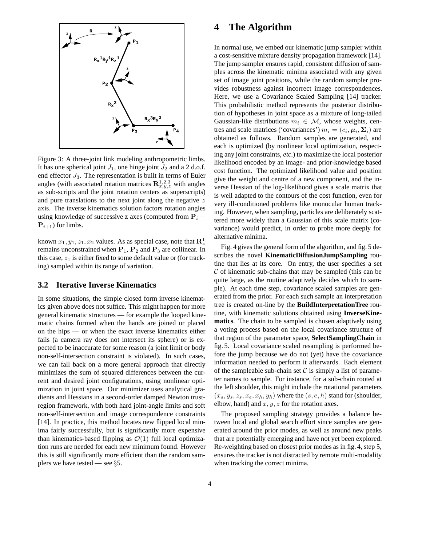

Figure 3: A three-joint link modeling anthropometric limbs. It has one spherical joint  $J_1$ , one hinge joint  $J_2$  and a 2 d.o.f. end effector  $J_3$ . The representation is built in terms of Euler angles (with associated rotation matrices  $\mathbb{R}_{x,y,z}^{1,2,3}$  with angles as sub-scripts and the joint rotation centers as superscripts) and pure translations to the next joint along the negative z axis. The inverse kinematics solution factors rotation angles using knowledge of successive z axes (computed from  $P_i$  –  ${\bf P}_{i+1}$ ) for limbs.

known  $x_1, y_1, z_1, x_2$  values. As as special case, note that  $\mathbb{R}^1$ <br>remains unconstrained when  $\mathbb{R}$ .  $\mathbb{R}^2$  and  $\mathbb{R}^2$  are collinear. In remains unconstrained when **<sup>P</sup>**<sup>1</sup>, **<sup>P</sup>**<sup>2</sup> and **<sup>P</sup>**<sup>3</sup> are collinear. In this case,  $z_1$  is either fixed to some default value or (for tracking) sampled within its range of variation.

### **3.2 Iterative Inverse Kinematics**

In some situations, the simple closed form inverse kinematics given above does not suffice. This might happen for more general kinematic structures — for example the looped kinematic chains formed when the hands are joined or placed on the hips — or when the exact inverse kinematics either fails (a camera ray does not intersect its sphere) or is expected to be inaccurate for some reason (a joint limit or body non-self-intersection constraint is violated). In such cases, we can fall back on a more general approach that directly minimizes the sum of squared differences between the current and desired joint configurations, using nonlinear optimization in joint space. Our minimizer uses analytical gradients and Hessians in a second-order damped Newton trustregion framework, with both hard joint-angle limits and soft non-self-intersection and image correspondence constraints [14]. In practice, this method locates new flipped local minima fairly successfully, but is significantly more expensive than kinematics-based flipping as  $\mathcal{O}(1)$  full local optimization runs are needed for each new minimum found. However this is still significantly more efficient than the random samplers we have tested — see  $\S$ 5.

## **4 The Algorithm**

In normal use, we embed our kinematic jump sampler within a cost-sensitive mixture density propagation framework [14]. The jump sampler ensures rapid, consistent diffusion of samples across the kinematic minima associated with any given set of image joint positions, while the random sampler provides robustness against incorrect image correspondences. Here, we use a Covariance Scaled Sampling [14] tracker. This probabilistic method represents the posterior distribution of hypotheses in joint space as a mixture of long-tailed Gaussian-like distributions  $m_i \in \mathcal{M}$ , whose weights, centres and scale matrices ('covariances')  $m_i = (c_i, \mu_i, \Sigma_i)$  are obtained as follows. Random samples are generated, and each is optimized (by nonlinear local optimization, respecting any joint constraints, *etc*.) to maximize the local posterior likelihood encoded by an image- and prior-knowledge based cost function. The optimized likelihood value and position give the weight and centre of a new component, and the inverse Hessian of the log-likelihood gives a scale matrix that is well adapted to the contours of the cost function, even for very ill-conditioned problems like monocular human tracking. However, when sampling, particles are deliberately scattered more widely than a Gaussian of this scale matrix (covariance) would predict, in order to probe more deeply for alternative minima.

Fig. 4 gives the general form of the algorithm, and fig. 5 describes the novel **KinematicDiffusionJumpSampling** routine that lies at its core. On entry, the user specifies a set  $C$  of kinematic sub-chains that may be sampled (this can be quite large, as the routine adaptively decides which to sample). At each time step, covariance scaled samples are generated from the prior. For each such sample an interpretation tree is created on-line by the **BuildInterpretationTree** routine, with kinematic solutions obtained using **InverseKinematics**. The chain to be sampled is chosen adaptively using a voting process based on the local covariance structure of that region of the parameter space, **SelectSamplingChain** in fig. 5. Local covariance scaled resampling is performed before the jump because we do not (yet) have the covariance information needed to perform it afterwards. Each element of the sampleable sub-chain set  $\mathcal C$  is simply a list of parameter names to sample. For instance, for a sub-chain rooted at the left shoulder, this might include the rotational parameters  $(x_s, y_s, z_s, x_e, x_h, y_h)$  where the  $(s, e, h)$  stand for (shoulder, elbow, hand) and  $x, y, z$  for the rotation axes.

The proposed sampling strategy provides a balance between local and global search effort since samples are generated around the prior modes, as well as around new peaks that are potentially emerging and have not yet been explored. Re-weighting based on closest prior modes as in fig. 4, step 5, ensures the tracker is not distracted by remote multi-modality when tracking the correct minima.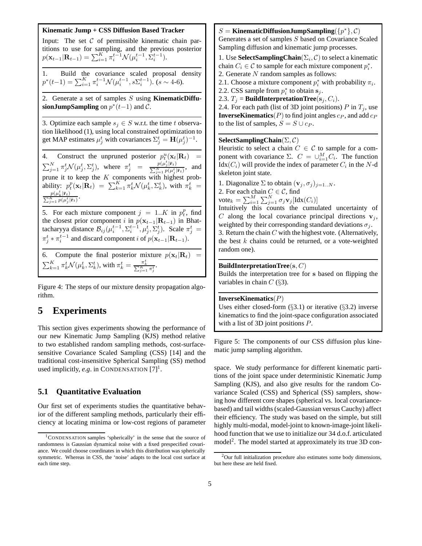#### **Kinematic Jump + CSS Diffusion Based Tracker**

Input: The set  $C$  of permissible kinematic chain partitions to use for sampling, and the previous posterior  $p(\mathbf{x}_{t-1}|\mathbf{R}_{t-1}) = \sum_{i=1}^{K} \pi_i^{t-1} \mathcal{N}(\mu_i^{t-1}, \hat{\Sigma}_i^{t-1}).$ 

1. Build the covariance scaled proposal density  $p^*(t-1) = \sum_{i=1}^K \pi_i^{t-1} \mathcal{N}(\mu_i^{t-1}, s \Sigma_i^{t-1})$ .  $(s \sim 4$ -6).

2. Generate a set of samples S using **KinematicDiffusionJumpSampling** on  $p^*(t-1)$  and  $\mathcal{C}$ .

3. Optimize each sample  $s_j \in S$  w.r.t. the time t observation likelihood (1), using local constrained optimization to get MAP estimates  $\mu_j^t$  with covariances  $\Sigma_j^t = \mathbf{H}(\mu_j^t)^{-1}$ .

4. Construct the unpruned posterior  $p_t^u(\mathbf{x}_t|\mathbf{R}_t) = \sum_{j=1}^N \pi_j^t \mathcal{N}(\mu_j^t, \Sigma_j^t)$ , where  $\pi_j^t = \frac{p(\mu_j^t|\bar{\mathbf{r}}_t)}{\sum_{j=1}^N p(\mu_j^t|\bar{\mathbf{r}}_t)},$  and  $\frac{p(\mu_j|\mathbf{r}_t)}{\sum_{j=1}^N p(\mu_j^t|\mathbf{\bar{r}}_t)},$  and prune it to keep the K components with highest probability:  $p_t^p(\mathbf{x}_t|\mathbf{R}_t) = \sum_{k=1}^K \pi_k^t \mathcal{N}(\mu_k^t, \Sigma_k^t)$ , with  $\pi_k^t =$  $\frac{p(\mu_k^t|\bar{\mathbf{r}}_t)}{\sum_{j=1}^K p(\mu_j^t|\bar{\mathbf{r}}_t)}.$ 

5. For each mixture component  $j = 1..K$  in  $p_t^p$ , find<br>the closest prior component i in  $p(\mathbf{x}_{t-1}|\mathbf{R}_{t-1})$  in Bhatthe closest prior component i in  $p(\mathbf{x}_{t-1}|\mathbf{R}_{t-1})$  in Bhattacharyya distance  $\mathcal{B}_{ij}(\mu_i^{t-1}, \Sigma_i^{t-1}, \mu_j^t, \Sigma_j^t)$ . Scale  $\pi_j^t =$  $\pi_j^t * \pi_i^{t-1}$  and discard component *i* of  $p(\mathbf{x}_{t-1}|\mathbf{R}_{t-1}).$ 6. Compute the final posterior mixture  $p(\mathbf{x}_t | \mathbf{R}_t) = \sum_{k=1}^K \pi_k^t \mathcal{N}(\mu_k^t, \Sigma_k^t)$ , with  $\pi_k^t = \frac{\pi_k^t}{\sum_{j=1}^K \pi_j^t}$ .

Figure 4: The steps of our mixture density propagation algorithm.

# **5 Experiments**

This section gives experiments showing the performance of our new Kinematic Jump Sampling (KJS) method relative to two established random sampling methods, cost-surfacesensitive Covariance Scaled Sampling (CSS) [14] and the traditional cost-insensitive Spherical Sampling (SS) method used implicitly, *e.g.* in CONDENSATION  $[7]$ <sup>1</sup>.

## **5.1 Quantitative Evaluation**

Our first set of experiments studies the quantitative behavior of the different sampling methods, particularly their efficiency at locating minima or low-cost regions of parameter

 $S =$ **KinematicDiffusionJumpSampling** $({p^*}, C)$ Generates a set of samples S based on Covariance Scaled Sampling diffusion and kinematic jump processes.

1. Use **SelectSamplingChain**( $\Sigma_i$ , C) to select a kinematic chain  $C_i \in \mathcal{C}$  to sample for each mixture component  $p_i^*$ . 2. Generate N random samples as follows:

2.1. Choose a mixture component  $p_i^*$  with probability  $\pi_i$ .

2.2. CSS sample from  $p_i^*$  to obtain  $\mathbf{s}_j$ .<br>2.3.  $T_i$  – **BuildInterpretationTree**(s)

2.3.  $T_i$  = **BuildInterpretationTree**( $\mathbf{s}_i, C_i$ ).

2.4. For each path (list of 3D joint positions) P in  $T_i$ , use **InverseKinematics**( $P$ ) to find joint angles  $c_P$ , and add  $c_P$ to the list of samples,  $S = S \cup c_P$ .

#### **SelectSamplingChain**(Σ, <sup>C</sup>)

Heuristic to select a chain  $C \in \mathcal{C}$  to sample for a component with covariance  $\Sigma$ .  $C = \bigcup_{i=1}^{M} C_i$ . The function  $\text{Id}_{\mathbf{X}}(C_i)$  will provide the index of parameter  $C_i$  in the  $N$ -d Idx( $C_i$ ) will provide the index of parameter  $C_i$  in the N-d skeleton joint state.

1. Diagonalize  $\Sigma$  to obtain  $(\mathbf{v}_j, \sigma_j)_{j=1..N}$ . 2. For each chain  $C \in \mathcal{C}$ , find vote<sub>k</sub> =  $\sum_{i=1}^{M} \sum_{j=1}^{N} \sigma_j \mathbf{v}_j [\text{Idx}(C_i)]$ <br>Intuitively this counts the cumu

Intuitively this counts the cumulated uncertainty of C along the local covariance principal directions  $v_j$ , weighted by their corresponding standard deviations  $\sigma_i$ . 3. Return the chain  $C$  with the highest vote. (Alternatively, the best  $k$  chains could be returned, or a vote-weighted random one).

#### **BuildInterpretationTree**(**s**, C)

Builds the interpretation tree for **s** based on flipping the variables in chain  $C$  (§3).

#### **InverseKinematics**(P)

Uses either closed-form  $(\S3.1)$  or iterative  $(\S3.2)$  inverse kinematics to find the joint-space configuration associated with a list of 3D joint positions P.

Figure 5: The components of our CSS diffusion plus kinematic jump sampling algorithm.

space. We study performance for different kinematic partitions of the joint space under deterministic Kinematic Jump Sampling (KJS), and also give results for the random Covariance Scaled (CSS) and Spherical (SS) samplers, showing how different core shapes (spherical vs. local covariancebased) and tail widths (scaled-Gaussian versus Cauchy) affect their efficiency. The study was based on the simple, but still highly multi-modal, model-joint to known-image-joint likelihood function that we use to initialize our 34 d.o.f. articulated model<sup>2</sup>. The model started at approximately its true 3D con-

<sup>1</sup>CONDENSATION samples 'spherically' in the sense that the source of randomness is Gaussian dynamical noise with a fixed prespecified covariance. We could choose coordinates in which this distribution was spherically symmetric. Whereas in CSS, the 'noise' adapts to the local cost surface at each time step.

 $2$ Our full initialization procedure also estimates some body dimensions, but here these are held fixed.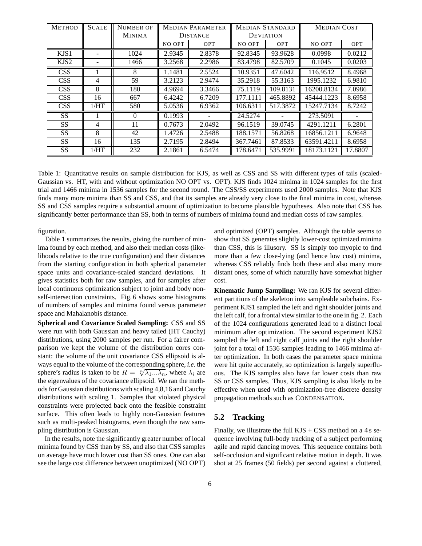| <b>METHOD</b>    | <b>SCALE</b> | Number of     | <b>MEDIAN PARAMETER</b> |            | <b>MEDIAN STANDARD</b> |          | <b>MEDIAN COST</b> |            |
|------------------|--------------|---------------|-------------------------|------------|------------------------|----------|--------------------|------------|
|                  |              | <b>MINIMA</b> | <b>DISTANCE</b>         |            | <b>DEVIATION</b>       |          |                    |            |
|                  |              |               | NO OPT                  | <b>OPT</b> | NO OPT                 | OPT      | NO OPT             | <b>OPT</b> |
| KJS1             |              | 1024          | 2.9345                  | 2.8378     | 92.8345                | 93.9628  | 0.0998             | 0.0212     |
| KJS <sub>2</sub> |              | 1466          | 3.2568                  | 2.2986     | 83.4798                | 82.5709  | 0.1045             | 0.0203     |
| <b>CSS</b>       |              | 8             | 1.1481                  | 2.5524     | 10.9351                | 47.6042  | 116.9512           | 8.4968     |
| <b>CSS</b>       | 4            | 59            | 3.2123                  | 2.9474     | 35.2918                | 55.3163  | 1995.1232          | 6.9810     |
| <b>CSS</b>       | 8            | 180           | 4.9694                  | 3.3466     | 75.1119                | 109.8131 | 16200.8134         | 7.0986     |
| <b>CSS</b>       | 16           | 667           | 6.4242                  | 6.7209     | 177.1111               | 465.8892 | 45444.1223         | 8.6958     |
| <b>CSS</b>       | 1/HT         | 580           | 5.0536                  | 6.9362     | 106.6311               | 517.3872 | 15247.7134         | 8.7242     |
| SS.              |              | $\Omega$      | 0.1993                  |            | 24.5274                |          | 273.5091           |            |
| SS.              | 4            | 11            | 0.7673                  | 2.0492     | 96.1519                | 39.0745  | 4291.1211          | 6.2801     |
| SS.              | 8            | 42            | 1.4726                  | 2.5488     | 188.1571               | 56.8268  | 16856.1211         | 6.9648     |
| <b>SS</b>        | 16           | 135           | 2.7195                  | 2.8494     | 367.7461               | 87.8533  | 63591.4211         | 8.6958     |
| SS.              | 1/HT         | 232           | 2.1861                  | 6.5474     | 178.6471               | 535.9991 | 18173.1121         | 17.8807    |

Table 1: Quantitative results on sample distribution for KJS, as well as CSS and SS with different types of tails (scaled-Gaussian vs. HT, with and without optimization NO OPT vs. OPT). KJS finds 1024 minima in 1024 samples for the first trial and 1466 minima in 1536 samples for the second round. The CSS/SS experiments used 2000 samples. Note that KJS finds many more minima than SS and CSS, and that its samples are already very close to the final minima in cost, whereas SS and CSS samples require a substantial amount of optimization to become plausible hypotheses. Also note that CSS has significantly better performance than SS, both in terms of numbers of minima found and median costs of raw samples.

figuration.

Table 1 summarizes the results, giving the number of minima found by each method, and also their median costs (likelihoods relative to the true configuration) and their distances from the starting configuration in both spherical parameter space units and covariance-scaled standard deviations. It gives statistics both for raw samples, and for samples after local continuous optimization subject to joint and body nonself-intersection constraints. Fig. 6 shows some histograms of numbers of samples and minima found versus parameter space and Mahalanobis distance.

**Spherical and Covariance Scaled Sampling:** CSS and SS were run with both Gaussian and heavy tailed (HT Cauchy) distributions, using 2000 samples per run. For a fairer comparison we kept the volume of the distribution cores constant: the volume of the unit covariance CSS ellipsoid is always equal to the volume of the corresponding sphere, *i.e*. the ways equal to the volume of the corresponding sphere, *i.e.* the sphere's radius is taken to be  $R = \sqrt[n]{\lambda_1 ... \lambda_n}$ , where  $\lambda_i$  are the eigenvalues of the covariance ellipsoid. We ran the meththe eigenvalues of the covariance ellipsoid. We ran the methods for Gaussian distributions with scaling 4,8,16 and Cauchy distributions with scaling 1. Samples that violated physical constraints were projected back onto the feasible constraint surface. This often leads to highly non-Gaussian features such as multi-peaked histograms, even though the raw sampling distribution is Gaussian.

In the results, note the significantly greater number of local minima found by CSS than by SS, and also that CSS samples on average have much lower cost than SS ones. One can also see the large cost difference between unoptimized (NO OPT) and optimized (OPT) samples. Although the table seems to show that SS generates slightly lower-cost optimized minima than CSS, this is illusory. SS is simply too myopic to find more than a few close-lying (and hence low cost) minima, whereas CSS reliably finds both these and also many more distant ones, some of which naturally have somewhat higher cost.

**Kinematic Jump Sampling:** We ran KJS for several different partitions of the skeleton into sampleable subchains. Experiment KJS1 sampled the left and right shoulder joints and the left calf, for a frontal view similar to the one in fig. 2. Each of the 1024 configurations generated lead to a distinct local minimum after optimization. The second experiment KJS2 sampled the left and right calf joints and the right shoulder joint for a total of 1536 samples leading to 1466 minima after optimization. In both cases the parameter space minima were hit quite accurately, so optimization is largely superfluous. The KJS samples also have far lower costs than raw SS or CSS samples. Thus, KJS sampling is also likely to be effective when used with optimization-free discrete density propagation methods such as CONDENSATION.

### **5.2 Tracking**

Finally, we illustrate the full  $KJS + CSS$  method on a 4 s sequence involving full-body tracking of a subject performing agile and rapid dancing moves. This sequence contains both self-occlusion and significant relative motion in depth. It was shot at 25 frames (50 fields) per second against a cluttered,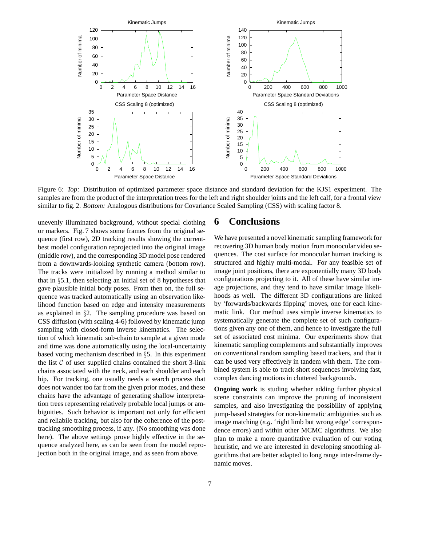

Figure 6: *Top:* Distribution of optimized parameter space distance and standard deviation for the KJS1 experiment. The samples are from the product of the interpretation trees for the left and right shoulder joints and the left calf, for a frontal view similar to fig. 2. *Bottom:* Analogous distributions for Covariance Scaled Sampling (CSS) with scaling factor 8.

unevenly illuminated background, without special clothing or markers. Fig. 7 shows some frames from the original sequence (first row), 2D tracking results showing the currentbest model configuration reprojected into the original image (middle row), and the corresponding 3D model pose rendered from a downwards-looking synthetic camera (bottom row). The tracks were initialized by running a method similar to that in  $\S 5.1$ , then selecting an initial set of 8 hypotheses that gave plausible initial body poses. From then on, the full sequence was tracked automatically using an observation likelihood function based on edge and intensity measurements as explained in §2. The sampling procedure was based on CSS diffusion (with scaling 4-6) followed by kinematic jump sampling with closed-form inverse kinematics. The selection of which kinematic sub-chain to sample at a given mode and time was done automatically using the local-uncertainty based voting mechanism described in §5. In this experiment the list  $C$  of user supplied chains contained the short 3-link chains associated with the neck, and each shoulder and each hip. For tracking, one usually needs a search process that does not wander too far from the given prior modes, and these chains have the advantage of generating shallow interpretation trees representing relatively probable local jumps or ambiguities. Such behavior is important not only for efficient and reliabile tracking, but also for the coherence of the posttracking smoothing process, if any. (No smoothing was done here). The above settings prove highly effective in the sequence analyzed here, as can be seen from the model reprojection both in the original image, and as seen from above.

## **6 Conclusions**

We have presented a novel kinematic sampling framework for recovering 3D human body motion from monocular video sequences. The cost surface for monocular human tracking is structured and highly multi-modal. For any feasible set of image joint positions, there are exponentially many 3D body configurations projecting to it. All of these have similar image projections, and they tend to have similar image likelihoods as well. The different 3D configurations are linked by 'forwards/backwards flipping' moves, one for each kinematic link. Our method uses simple inverse kinematics to systematically generate the complete set of such configurations given any one of them, and hence to investigate the full set of associated cost minima. Our experiments show that kinematic sampling complements and substantially improves on conventional random sampling based trackers, and that it can be used very effectively in tandem with them. The combined system is able to track short sequences involving fast, complex dancing motions in cluttered backgrounds.

**Ongoing work** is studing whether adding further physical scene constraints can improve the pruning of inconsistent samples, and also investigating the possibility of applying jump-based strategies for non-kinematic ambiguities such as image matching (*e.g*. 'right limb but wrong edge' correspondence errors) and within other MCMC algorithms. We also plan to make a more quantitative evaluation of our voting heuristic, and we are interested in developing smoothing algorithms that are better adapted to long range inter-frame dynamic moves.